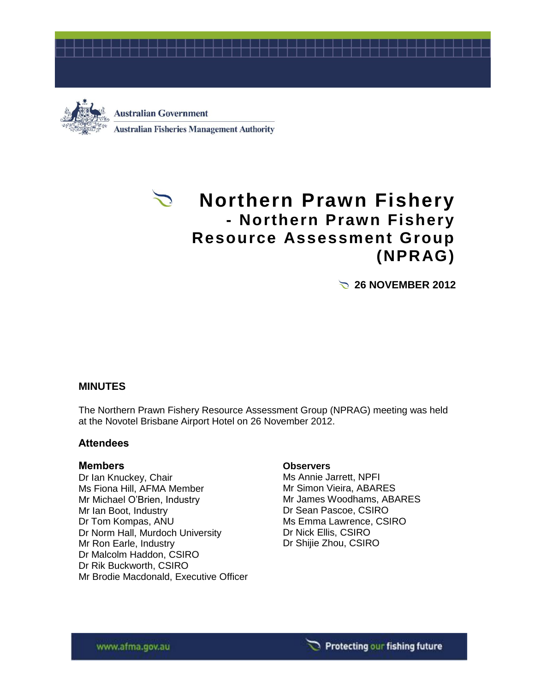



# **Northern Prawn Fishery - Northern Prawn Fishery Resource Assessment Group (NPRAG)**

**26 NOVEMBER 2012** 

## **MINUTES**

The Northern Prawn Fishery Resource Assessment Group (NPRAG) meeting was held at the Novotel Brisbane Airport Hotel on 26 November 2012.

## **Attendees**

#### **Members**

Dr Ian Knuckey, Chair Ms Fiona Hill, AFMA Member Mr Michael O'Brien, Industry Mr Ian Boot, Industry Dr Tom Kompas, ANU Dr Norm Hall, Murdoch University Mr Ron Earle, Industry Dr Malcolm Haddon, CSIRO Dr Rik Buckworth, CSIRO Mr Brodie Macdonald, Executive Officer

#### **Observers**

Ms Annie Jarrett, NPFI Mr Simon Vieira, ABARES Mr James Woodhams, ABARES Dr Sean Pascoe, CSIRO Ms Emma Lawrence, CSIRO Dr Nick Ellis, CSIRO Dr Shijie Zhou, CSIRO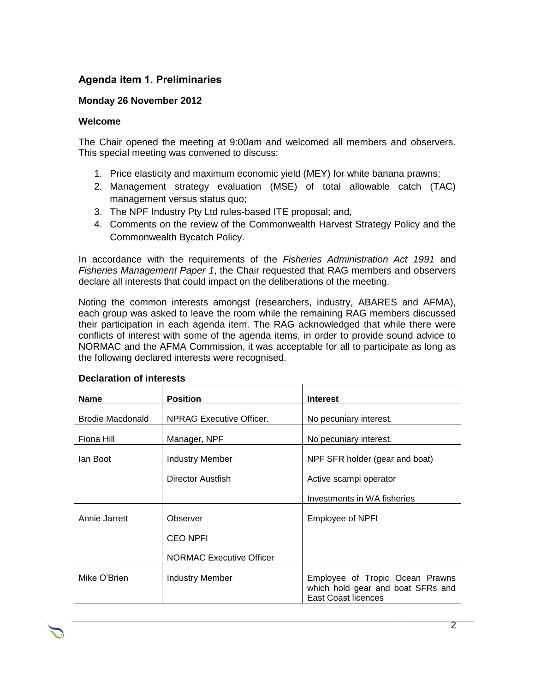## **Agenda item 1. Preliminaries**

### **Monday 26 November 2012**

#### **Welcome**

The Chair opened the meeting at 9:00am and welcomed all members and observers. This special meeting was convened to discuss:

- 1. Price elasticity and maximum economic yield (MEY) for white banana prawns;
- 2. Management strategy evaluation (MSE) of total allowable catch (TAC) management versus status quo;
- 3. The NPF Industry Pty Ltd rules-based ITE proposal; and,
- 4. Comments on the review of the Commonwealth Harvest Strategy Policy and the Commonwealth Bycatch Policy.

In accordance with the requirements of the *Fisheries Administration Act 1991* and *Fisheries Management Paper 1*, the Chair requested that RAG members and observers declare all interests that could impact on the deliberations of the meeting.

Noting the common interests amongst (researchers, industry, ABARES and AFMA), each group was asked to leave the room while the remaining RAG members discussed their participation in each agenda item. The RAG acknowledged that while there were conflicts of interest with some of the agenda items, in order to provide sound advice to NORMAC and the AFMA Commission, it was acceptable for all to participate as long as the following declared interests were recognised.

| <b>Name</b>             | <b>Position</b>                 | <b>Interest</b>                                                                             |
|-------------------------|---------------------------------|---------------------------------------------------------------------------------------------|
| <b>Brodie Macdonald</b> | <b>NPRAG Executive Officer.</b> | No pecuniary interest.                                                                      |
| Fiona Hill              | Manager, NPF                    | No pecuniary interest.                                                                      |
| lan Boot                | Industry Member                 | NPF SFR holder (gear and boat)                                                              |
|                         | Director Austrish               | Active scampi operator                                                                      |
|                         |                                 | Investments in WA fisheries                                                                 |
| Annie Jarrett           | Observer                        | Employee of NPFI                                                                            |
|                         | <b>CEO NPFI</b>                 |                                                                                             |
|                         | <b>NORMAC Executive Officer</b> |                                                                                             |
| Mike O'Brien            | Industry Member                 | Employee of Tropic Ocean Prawns<br>which hold gear and boat SFRs and<br>East Coast licences |

#### **Declaration of interests**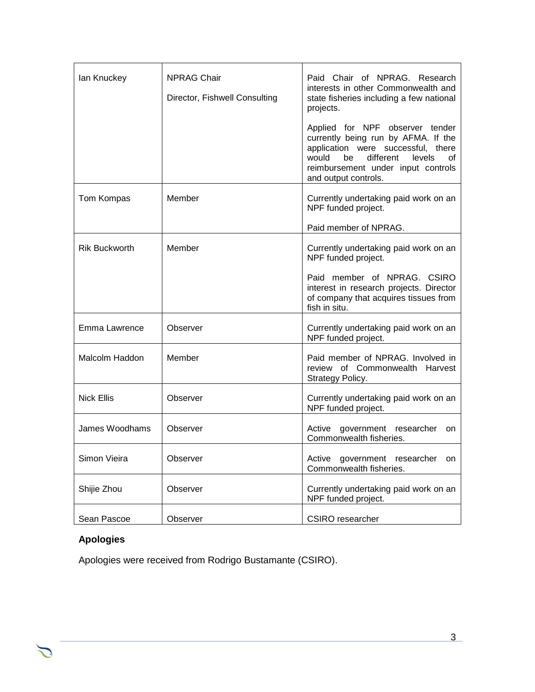| lan Knuckey           | <b>NPRAG Chair</b><br>Director, Fishwell Consulting | Paid Chair of NPRAG. Research<br>interests in other Commonwealth and<br>state fisheries including a few national<br>projects.<br>Applied for NPF observer tender<br>currently being run by AFMA. If the |
|-----------------------|-----------------------------------------------------|---------------------------------------------------------------------------------------------------------------------------------------------------------------------------------------------------------|
|                       |                                                     | application were successful, there<br>different<br>levels<br>would<br>be<br>οf<br>reimbursement under input controls<br>and output controls.                                                            |
| Tom Kompas            | Member                                              | Currently undertaking paid work on an<br>NPF funded project.                                                                                                                                            |
|                       |                                                     | Paid member of NPRAG.                                                                                                                                                                                   |
| <b>Rik Buckworth</b>  | Member                                              | Currently undertaking paid work on an<br>NPF funded project.                                                                                                                                            |
|                       |                                                     | Paid member of NPRAG. CSIRO<br>interest in research projects. Director<br>of company that acquires tissues from<br>fish in situ.                                                                        |
| Emma Lawrence         | Observer                                            | Currently undertaking paid work on an<br>NPF funded project.                                                                                                                                            |
| <b>Malcolm Haddon</b> | Member                                              | Paid member of NPRAG. Involved in<br>review of Commonwealth Harvest<br>Strategy Policy.                                                                                                                 |
| <b>Nick Ellis</b>     | Observer                                            | Currently undertaking paid work on an<br>NPF funded project.                                                                                                                                            |
| James Woodhams        | Observer                                            | Active government researcher<br>on<br>Commonwealth fisheries.                                                                                                                                           |
| Simon Vieira          | Observer                                            | Active government researcher<br>on<br>Commonwealth fisheries.                                                                                                                                           |
| Shijie Zhou           | Observer                                            | Currently undertaking paid work on an<br>NPF funded project.                                                                                                                                            |
| Sean Pascoe           | Observer                                            | CSIRO researcher                                                                                                                                                                                        |

# **Apologies**

Apologies were received from Rodrigo Bustamante (CSIRO).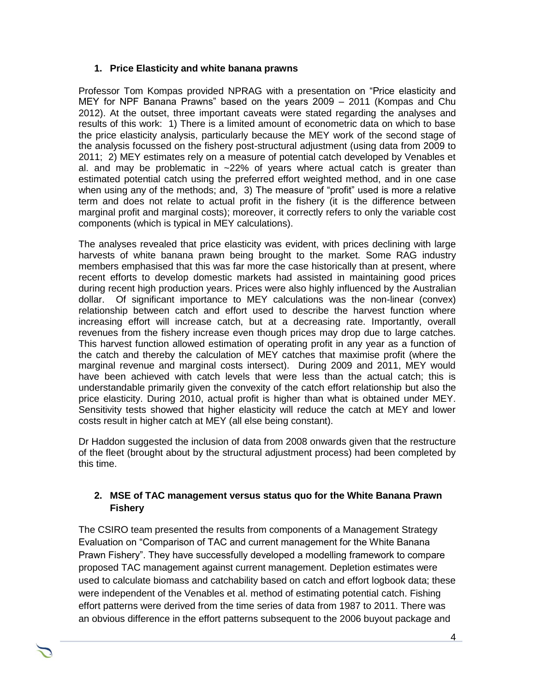## **1. Price Elasticity and white banana prawns**

Professor Tom Kompas provided NPRAG with a presentation on "Price elasticity and MEY for NPF Banana Prawns" based on the years 2009 – 2011 (Kompas and Chu 2012). At the outset, three important caveats were stated regarding the analyses and results of this work: 1) There is a limited amount of econometric data on which to base the price elasticity analysis, particularly because the MEY work of the second stage of the analysis focussed on the fishery post-structural adjustment (using data from 2009 to 2011; 2) MEY estimates rely on a measure of potential catch developed by Venables et al. and may be problematic in ~22% of years where actual catch is greater than estimated potential catch using the preferred effort weighted method, and in one case when using any of the methods; and, 3) The measure of "profit" used is more a relative term and does not relate to actual profit in the fishery (it is the difference between marginal profit and marginal costs); moreover, it correctly refers to only the variable cost components (which is typical in MEY calculations).

The analyses revealed that price elasticity was evident, with prices declining with large harvests of white banana prawn being brought to the market. Some RAG industry members emphasised that this was far more the case historically than at present, where recent efforts to develop domestic markets had assisted in maintaining good prices during recent high production years. Prices were also highly influenced by the Australian dollar. Of significant importance to MEY calculations was the non-linear (convex) relationship between catch and effort used to describe the harvest function where increasing effort will increase catch, but at a decreasing rate. Importantly, overall revenues from the fishery increase even though prices may drop due to large catches. This harvest function allowed estimation of operating profit in any year as a function of the catch and thereby the calculation of MEY catches that maximise profit (where the marginal revenue and marginal costs intersect). During 2009 and 2011, MEY would have been achieved with catch levels that were less than the actual catch; this is understandable primarily given the convexity of the catch effort relationship but also the price elasticity. During 2010, actual profit is higher than what is obtained under MEY. Sensitivity tests showed that higher elasticity will reduce the catch at MEY and lower costs result in higher catch at MEY (all else being constant).

Dr Haddon suggested the inclusion of data from 2008 onwards given that the restructure of the fleet (brought about by the structural adjustment process) had been completed by this time.

## **2. MSE of TAC management versus status quo for the White Banana Prawn Fishery**

The CSIRO team presented the results from components of a Management Strategy Evaluation on "Comparison of TAC and current management for the White Banana Prawn Fishery". They have successfully developed a modelling framework to compare proposed TAC management against current management. Depletion estimates were used to calculate biomass and catchability based on catch and effort logbook data; these were independent of the Venables et al. method of estimating potential catch. Fishing effort patterns were derived from the time series of data from 1987 to 2011. There was an obvious difference in the effort patterns subsequent to the 2006 buyout package and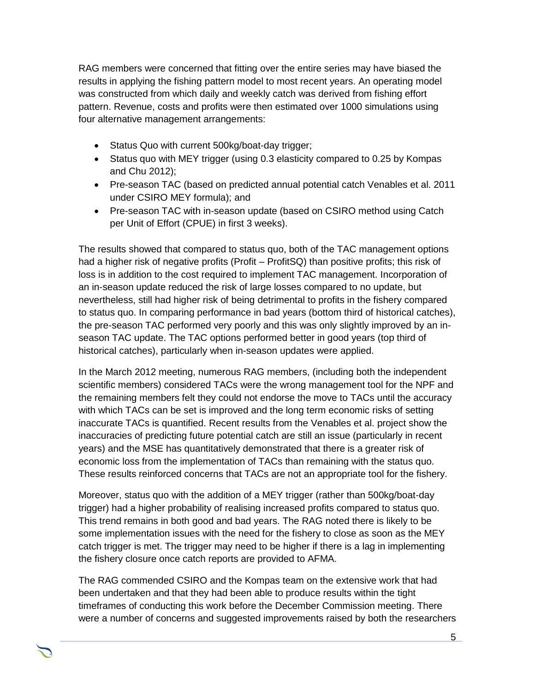RAG members were concerned that fitting over the entire series may have biased the results in applying the fishing pattern model to most recent years. An operating model was constructed from which daily and weekly catch was derived from fishing effort pattern. Revenue, costs and profits were then estimated over 1000 simulations using four alternative management arrangements:

- Status Quo with current 500kg/boat-day trigger;
- Status quo with MEY trigger (using 0.3 elasticity compared to 0.25 by Kompas and Chu 2012);
- Pre-season TAC (based on predicted annual potential catch Venables et al. 2011 under CSIRO MEY formula); and
- Pre-season TAC with in-season update (based on CSIRO method using Catch per Unit of Effort (CPUE) in first 3 weeks).

The results showed that compared to status quo, both of the TAC management options had a higher risk of negative profits (Profit – ProfitSQ) than positive profits; this risk of loss is in addition to the cost required to implement TAC management. Incorporation of an in-season update reduced the risk of large losses compared to no update, but nevertheless, still had higher risk of being detrimental to profits in the fishery compared to status quo. In comparing performance in bad years (bottom third of historical catches), the pre-season TAC performed very poorly and this was only slightly improved by an inseason TAC update. The TAC options performed better in good years (top third of historical catches), particularly when in-season updates were applied.

In the March 2012 meeting, numerous RAG members, (including both the independent scientific members) considered TACs were the wrong management tool for the NPF and the remaining members felt they could not endorse the move to TACs until the accuracy with which TACs can be set is improved and the long term economic risks of setting inaccurate TACs is quantified. Recent results from the Venables et al. project show the inaccuracies of predicting future potential catch are still an issue (particularly in recent years) and the MSE has quantitatively demonstrated that there is a greater risk of economic loss from the implementation of TACs than remaining with the status quo. These results reinforced concerns that TACs are not an appropriate tool for the fishery.

Moreover, status quo with the addition of a MEY trigger (rather than 500kg/boat-day trigger) had a higher probability of realising increased profits compared to status quo. This trend remains in both good and bad years. The RAG noted there is likely to be some implementation issues with the need for the fishery to close as soon as the MEY catch trigger is met. The trigger may need to be higher if there is a lag in implementing the fishery closure once catch reports are provided to AFMA.

The RAG commended CSIRO and the Kompas team on the extensive work that had been undertaken and that they had been able to produce results within the tight timeframes of conducting this work before the December Commission meeting. There were a number of concerns and suggested improvements raised by both the researchers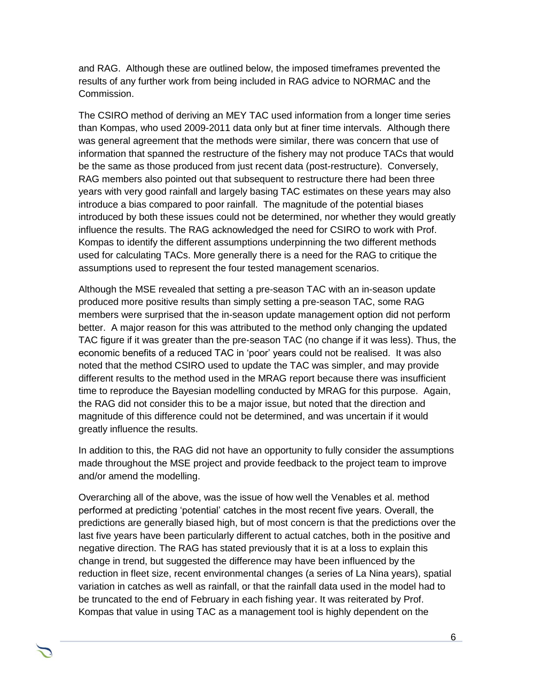and RAG. Although these are outlined below, the imposed timeframes prevented the results of any further work from being included in RAG advice to NORMAC and the Commission.

The CSIRO method of deriving an MEY TAC used information from a longer time series than Kompas, who used 2009-2011 data only but at finer time intervals. Although there was general agreement that the methods were similar, there was concern that use of information that spanned the restructure of the fishery may not produce TACs that would be the same as those produced from just recent data (post-restructure). Conversely, RAG members also pointed out that subsequent to restructure there had been three years with very good rainfall and largely basing TAC estimates on these years may also introduce a bias compared to poor rainfall. The magnitude of the potential biases introduced by both these issues could not be determined, nor whether they would greatly influence the results. The RAG acknowledged the need for CSIRO to work with Prof. Kompas to identify the different assumptions underpinning the two different methods used for calculating TACs. More generally there is a need for the RAG to critique the assumptions used to represent the four tested management scenarios.

Although the MSE revealed that setting a pre-season TAC with an in-season update produced more positive results than simply setting a pre-season TAC, some RAG members were surprised that the in-season update management option did not perform better. A major reason for this was attributed to the method only changing the updated TAC figure if it was greater than the pre-season TAC (no change if it was less). Thus, the economic benefits of a reduced TAC in 'poor' years could not be realised. It was also noted that the method CSIRO used to update the TAC was simpler, and may provide different results to the method used in the MRAG report because there was insufficient time to reproduce the Bayesian modelling conducted by MRAG for this purpose. Again, the RAG did not consider this to be a major issue, but noted that the direction and magnitude of this difference could not be determined, and was uncertain if it would greatly influence the results.

In addition to this, the RAG did not have an opportunity to fully consider the assumptions made throughout the MSE project and provide feedback to the project team to improve and/or amend the modelling.

Overarching all of the above, was the issue of how well the Venables et al. method performed at predicting 'potential' catches in the most recent five years. Overall, the predictions are generally biased high, but of most concern is that the predictions over the last five years have been particularly different to actual catches, both in the positive and negative direction. The RAG has stated previously that it is at a loss to explain this change in trend, but suggested the difference may have been influenced by the reduction in fleet size, recent environmental changes (a series of La Nina years), spatial variation in catches as well as rainfall, or that the rainfall data used in the model had to be truncated to the end of February in each fishing year. It was reiterated by Prof. Kompas that value in using TAC as a management tool is highly dependent on the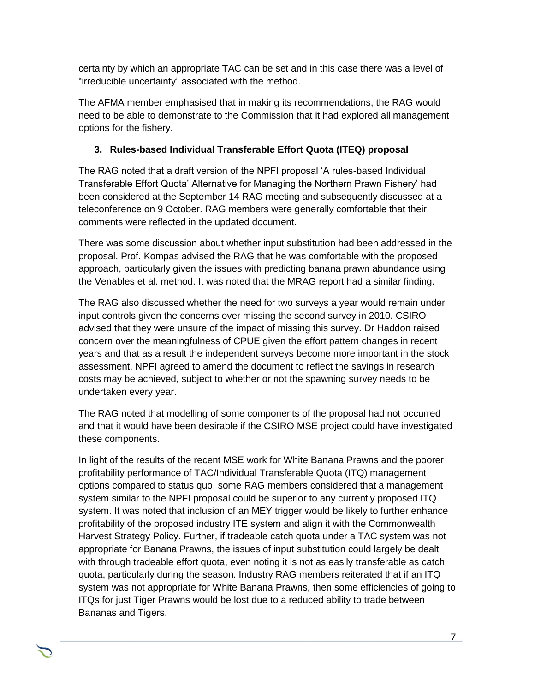certainty by which an appropriate TAC can be set and in this case there was a level of "irreducible uncertainty" associated with the method.

The AFMA member emphasised that in making its recommendations, the RAG would need to be able to demonstrate to the Commission that it had explored all management options for the fishery.

# **3. Rules-based Individual Transferable Effort Quota (ITEQ) proposal**

The RAG noted that a draft version of the NPFI proposal 'A rules-based Individual Transferable Effort Quota' Alternative for Managing the Northern Prawn Fishery' had been considered at the September 14 RAG meeting and subsequently discussed at a teleconference on 9 October. RAG members were generally comfortable that their comments were reflected in the updated document.

There was some discussion about whether input substitution had been addressed in the proposal. Prof. Kompas advised the RAG that he was comfortable with the proposed approach, particularly given the issues with predicting banana prawn abundance using the Venables et al. method. It was noted that the MRAG report had a similar finding.

The RAG also discussed whether the need for two surveys a year would remain under input controls given the concerns over missing the second survey in 2010. CSIRO advised that they were unsure of the impact of missing this survey. Dr Haddon raised concern over the meaningfulness of CPUE given the effort pattern changes in recent years and that as a result the independent surveys become more important in the stock assessment. NPFI agreed to amend the document to reflect the savings in research costs may be achieved, subject to whether or not the spawning survey needs to be undertaken every year.

The RAG noted that modelling of some components of the proposal had not occurred and that it would have been desirable if the CSIRO MSE project could have investigated these components.

In light of the results of the recent MSE work for White Banana Prawns and the poorer profitability performance of TAC/Individual Transferable Quota (ITQ) management options compared to status quo, some RAG members considered that a management system similar to the NPFI proposal could be superior to any currently proposed ITQ system. It was noted that inclusion of an MEY trigger would be likely to further enhance profitability of the proposed industry ITE system and align it with the Commonwealth Harvest Strategy Policy. Further, if tradeable catch quota under a TAC system was not appropriate for Banana Prawns, the issues of input substitution could largely be dealt with through tradeable effort quota, even noting it is not as easily transferable as catch quota, particularly during the season. Industry RAG members reiterated that if an ITQ system was not appropriate for White Banana Prawns, then some efficiencies of going to ITQs for just Tiger Prawns would be lost due to a reduced ability to trade between Bananas and Tigers.